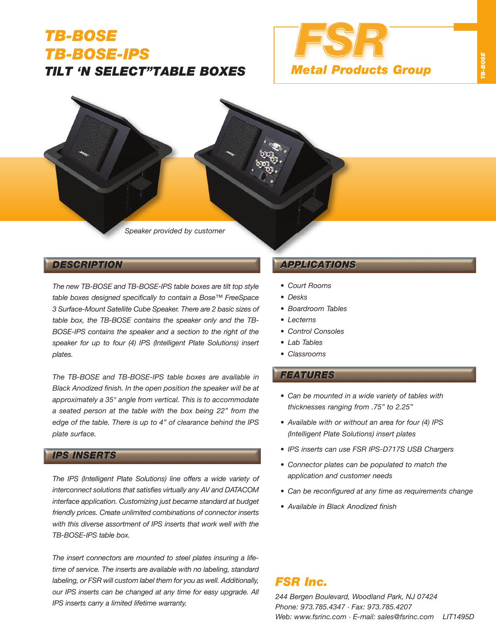# *TB-BOSE TB-BOSE-IPS TILT 'N SELECT"TABLE BOXES*

# *Metal Products Group*



#### *DESCRIPTION DESCRIPTION*

*The new TB-BOSE and TB-BOSE-IPS table boxes are tilt top style table boxes designed specifically to contain a Bose™ FreeSpace 3 Surface-Mount Satellite Cube Speaker. There are 2 basic sizes of table box, the TB-BOSE contains the speaker only and the TB-BOSE-IPS contains the speaker and a section to the right of the speaker for up to four (4) IPS (Intelligent Plate Solutions) insert plates.* 

*The TB-BOSE and TB-BOSE-IPS table boxes are available in Black Anodized finish. In the open position the speaker will be at approximately a 35° angle from vertical. This is to accommodate a seated person at the table with the box being 22" from the edge of the table. There is up to 4" of clearance behind the IPS plate surface.*

#### *IPS INSERTS IPS*

*The IPS (Intelligent Plate Solutions) line offers a wide variety of interconnect solutions that satisfies virtually any AV and DATACOM interface application. Customizing just became standard at budget friendly prices. Create unlimited combinations of connector inserts with this diverse assortment of IPS inserts that work well with the TB-BOSE-IPS table box.* 

*The insert connectors are mounted to steel plates insuring a lifetime of service. The inserts are available with no labeling, standard labeling, or FSR will custom label them for you as well. Additionally, our IPS inserts can be changed at any time for easy upgrade. All IPS inserts carry a limited lifetime warranty.*

#### *APPLICATIONS*

- *Court Rooms*
- *Desks*
- *Boardroom Tables*
- *Lecterns*
- *Control Consoles*
- *Lab Tables*
- *Classrooms*

#### *FEATURES FEATURES*

- *Can be mounted in a wide variety of tables with thicknesses ranging from .75" to 2.25"*
- *Available with or without an area for four (4) IPS (Intelligent Plate Solutions) insert plates*
- *IPS inserts can use FSR IPS-D717S USB Chargers*
- *Connector plates can be populated to match the application and customer needs*
- *Can be reconfigured at any time as requirements change*
- *Available in Black Anodized finish*

## *FSR Inc.*

*244 Bergen Boulevard, Woodland Park, NJ 07424 Phone: 973.785.4347 · Fax: 973.785.4207 Web: www.fsrinc.com · E-mail: sales@fsrinc.com LIT1495D*